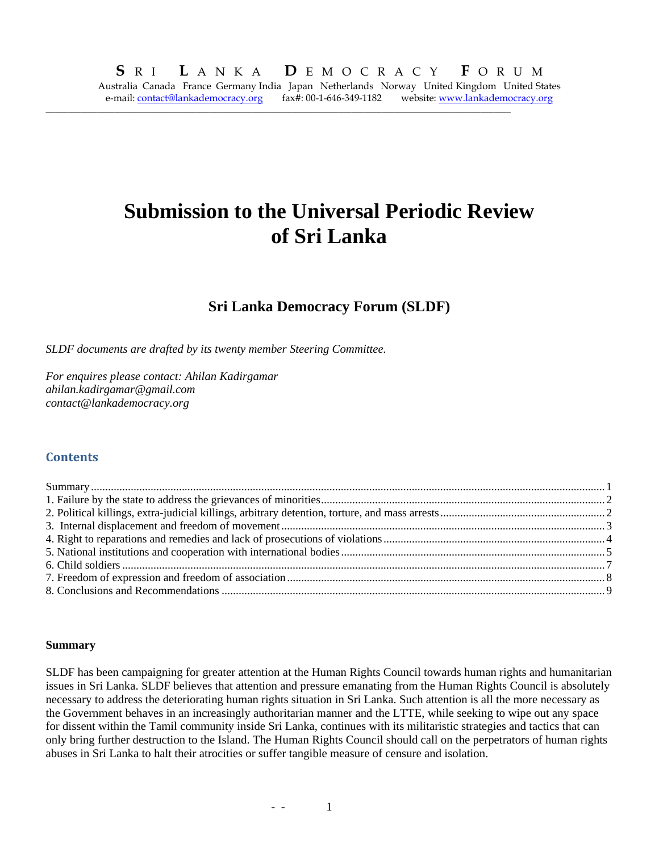**\_\_\_\_\_\_\_\_\_\_\_\_\_\_\_\_\_\_\_\_\_\_\_\_\_\_\_\_\_\_\_\_\_\_\_\_\_\_\_\_\_\_\_\_\_\_\_\_\_\_\_\_\_\_\_\_\_\_\_\_\_\_\_\_\_\_\_\_\_\_\_\_\_\_\_\_\_\_\_\_\_\_\_\_\_\_\_\_\_\_\_\_\_\_\_\_\_\_\_\_\_\_\_\_\_\_\_\_** 

# **Submission to the Universal Periodic Review of Sri Lanka**

## **Sri Lanka Democracy Forum (SLDF)**

*SLDF documents are drafted by its twenty member Steering Committee.* 

*For enquires please contact: Ahilan Kadirgamar ahilan.kadirgamar@gmail.com contact@lankademocracy.org* 

## **Contents**

#### **Summary**

SLDF has been campaigning for greater attention at the Human Rights Council towards human rights and humanitarian issues in Sri Lanka. SLDF believes that attention and pressure emanating from the Human Rights Council is absolutely necessary to address the deteriorating human rights situation in Sri Lanka. Such attention is all the more necessary as the Government behaves in an increasingly authoritarian manner and the LTTE, while seeking to wipe out any space for dissent within the Tamil community inside Sri Lanka, continues with its militaristic strategies and tactics that can only bring further destruction to the Island. The Human Rights Council should call on the perpetrators of human rights abuses in Sri Lanka to halt their atrocities or suffer tangible measure of censure and isolation.

-  $-$  1  $-$  1  $-$  1  $-$  1  $-$  1  $-$  1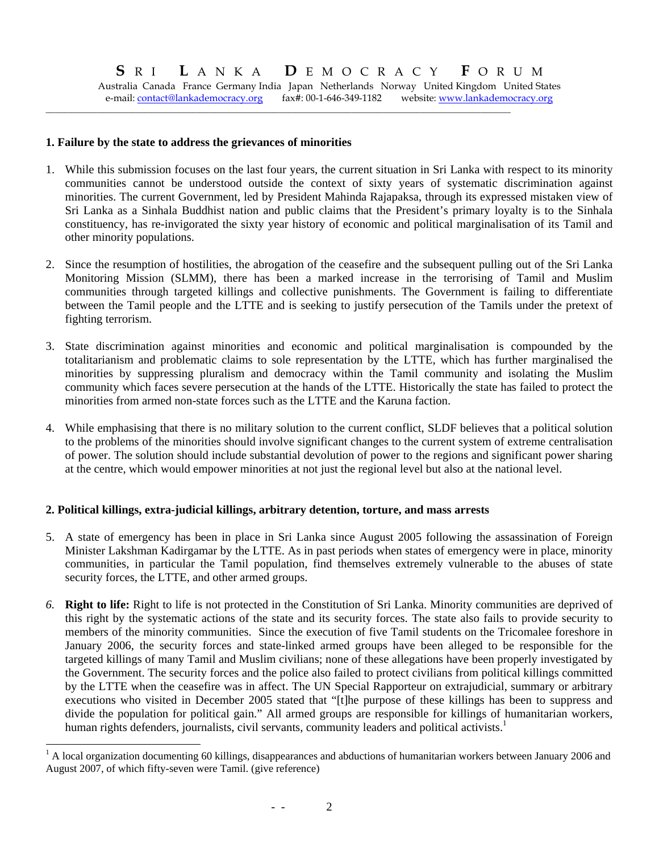Australia Canada France Germany India Japan Netherlands Norway United Kingdom United States e-mail: contact@lankademocracy.org fax#: 00-1-646-349-1182 website: www.lankademocracy.org

**\_\_\_\_\_\_\_\_\_\_\_\_\_\_\_\_\_\_\_\_\_\_\_\_\_\_\_\_\_\_\_\_\_\_\_\_\_\_\_\_\_\_\_\_\_\_\_\_\_\_\_\_\_\_\_\_\_\_\_\_\_\_\_\_\_\_\_\_\_\_\_\_\_\_\_\_\_\_\_\_\_\_\_\_\_\_\_\_\_\_\_\_\_\_\_\_\_\_\_\_\_\_\_\_\_\_\_\_** 

#### **1. Failure by the state to address the grievances of minorities**

- 1. While this submission focuses on the last four years, the current situation in Sri Lanka with respect to its minority communities cannot be understood outside the context of sixty years of systematic discrimination against minorities. The current Government, led by President Mahinda Rajapaksa, through its expressed mistaken view of Sri Lanka as a Sinhala Buddhist nation and public claims that the President's primary loyalty is to the Sinhala constituency, has re-invigorated the sixty year history of economic and political marginalisation of its Tamil and other minority populations.
- 2. Since the resumption of hostilities, the abrogation of the ceasefire and the subsequent pulling out of the Sri Lanka Monitoring Mission (SLMM), there has been a marked increase in the terrorising of Tamil and Muslim communities through targeted killings and collective punishments. The Government is failing to differentiate between the Tamil people and the LTTE and is seeking to justify persecution of the Tamils under the pretext of fighting terrorism.
- 3. State discrimination against minorities and economic and political marginalisation is compounded by the totalitarianism and problematic claims to sole representation by the LTTE, which has further marginalised the minorities by suppressing pluralism and democracy within the Tamil community and isolating the Muslim community which faces severe persecution at the hands of the LTTE. Historically the state has failed to protect the minorities from armed non-state forces such as the LTTE and the Karuna faction.
- 4. While emphasising that there is no military solution to the current conflict, SLDF believes that a political solution to the problems of the minorities should involve significant changes to the current system of extreme centralisation of power. The solution should include substantial devolution of power to the regions and significant power sharing at the centre, which would empower minorities at not just the regional level but also at the national level.

## **2. Political killings, extra-judicial killings, arbitrary detention, torture, and mass arrests**

- 5. A state of emergency has been in place in Sri Lanka since August 2005 following the assassination of Foreign Minister Lakshman Kadirgamar by the LTTE. As in past periods when states of emergency were in place, minority communities, in particular the Tamil population, find themselves extremely vulnerable to the abuses of state security forces, the LTTE, and other armed groups.
- *6.* **Right to life:** Right to life is not protected in the Constitution of Sri Lanka. Minority communities are deprived of this right by the systematic actions of the state and its security forces. The state also fails to provide security to members of the minority communities. Since the execution of five Tamil students on the Tricomalee foreshore in January 2006, the security forces and state-linked armed groups have been alleged to be responsible for the targeted killings of many Tamil and Muslim civilians; none of these allegations have been properly investigated by the Government. The security forces and the police also failed to protect civilians from political killings committed by the LTTE when the ceasefire was in affect. The UN Special Rapporteur on extrajudicial, summary or arbitrary executions who visited in December 2005 stated that "[t]he purpose of these killings has been to suppress and divide the population for political gain." All armed groups are responsible for killings of humanitarian workers, human rights defenders, journalists, civil servants, community leaders and political activists.<sup>1</sup>

<sup>&</sup>lt;sup>1</sup> A local organization documenting 60 killings, disappearances and abductions of humanitarian workers between January 2006 and August 2007, of which fifty-seven were Tamil. (give reference)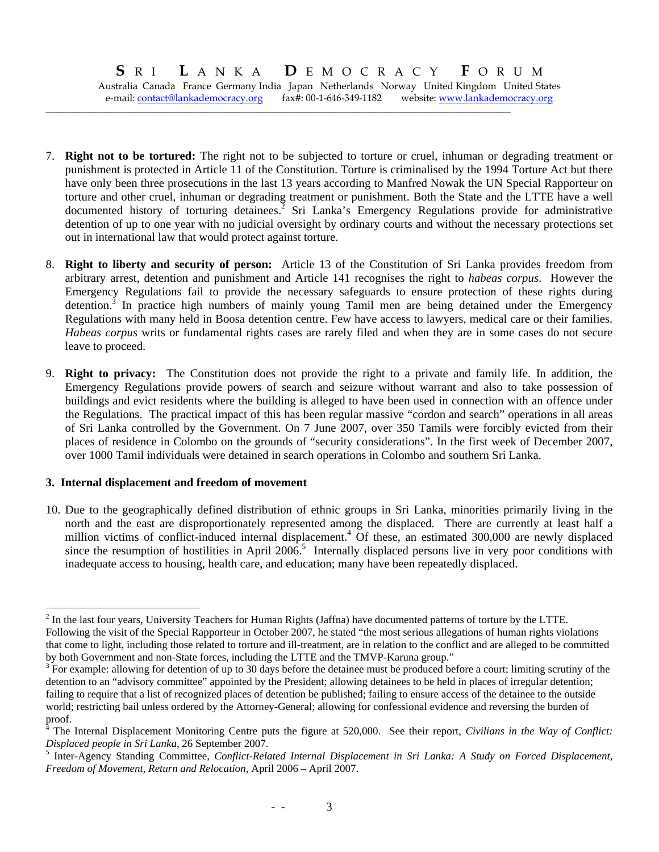Australia Canada France Germany India Japan Netherlands Norway United Kingdom United States e-mail: contact@lankademocracy.org fax#: 00-1-646-349-1182 website: www.lankademocracy.org

**\_\_\_\_\_\_\_\_\_\_\_\_\_\_\_\_\_\_\_\_\_\_\_\_\_\_\_\_\_\_\_\_\_\_\_\_\_\_\_\_\_\_\_\_\_\_\_\_\_\_\_\_\_\_\_\_\_\_\_\_\_\_\_\_\_\_\_\_\_\_\_\_\_\_\_\_\_\_\_\_\_\_\_\_\_\_\_\_\_\_\_\_\_\_\_\_\_\_\_\_\_\_\_\_\_\_\_\_** 

- 7. **Right not to be tortured:** The right not to be subjected to torture or cruel, inhuman or degrading treatment or punishment is protected in Article 11 of the Constitution. Torture is criminalised by the 1994 Torture Act but there have only been three prosecutions in the last 13 years according to Manfred Nowak the UN Special Rapporteur on torture and other cruel, inhuman or degrading treatment or punishment. Both the State and the LTTE have a well documented history of torturing detainees.<sup>2</sup> Sri Lanka's Emergency Regulations provide for administrative detention of up to one year with no judicial oversight by ordinary courts and without the necessary protections set out in international law that would protect against torture.
- 8. **Right to liberty and security of person:** Article 13 of the Constitution of Sri Lanka provides freedom from arbitrary arrest, detention and punishment and Article 141 recognises the right to *habeas corpus*. However the Emergency Regulations fail to provide the necessary safeguards to ensure protection of these rights during detention.<sup>3</sup> In practice high numbers of mainly young Tamil men are being detained under the Emergency Regulations with many held in Boosa detention centre. Few have access to lawyers, medical care or their families. *Habeas corpus* writs or fundamental rights cases are rarely filed and when they are in some cases do not secure leave to proceed.
- 9. **Right to privacy:** The Constitution does not provide the right to a private and family life. In addition, the Emergency Regulations provide powers of search and seizure without warrant and also to take possession of buildings and evict residents where the building is alleged to have been used in connection with an offence under the Regulations. The practical impact of this has been regular massive "cordon and search" operations in all areas of Sri Lanka controlled by the Government. On 7 June 2007, over 350 Tamils were forcibly evicted from their places of residence in Colombo on the grounds of "security considerations". In the first week of December 2007, over 1000 Tamil individuals were detained in search operations in Colombo and southern Sri Lanka.

#### **3. Internal displacement and freedom of movement**

l

10. Due to the geographically defined distribution of ethnic groups in Sri Lanka, minorities primarily living in the north and the east are disproportionately represented among the displaced. There are currently at least half a million victims of conflict-induced internal displacement.<sup>4</sup> Of these, an estimated 300,000 are newly displaced since the resumption of hostilities in April 2006.<sup>5</sup> Internally displaced persons live in very poor conditions with inadequate access to housing, health care, and education; many have been repeatedly displaced.

 $2^{2}$  In the last four years, University Teachers for Human Rights (Jaffna) have documented patterns of torture by the LTTE. Following the visit of the Special Rapporteur in October 2007, he stated "the most serious allegations of human rights violations that come to light, including those related to torture and ill-treatment, are in relation to the conflict and are alleged to be committed by both Government and non-State forces, including the LTTE and the TMVP-Karuna group."

 $3<sup>3</sup>$  For example: allowing for detention of up to 30 days before the detainee must be produced before a court; limiting scrutiny of the detention to an "advisory committee" appointed by the President; allowing detainees to be held in places of irregular detention; failing to require that a list of recognized places of detention be published; failing to ensure access of the detainee to the outside world; restricting bail unless ordered by the Attorney-General; allowing for confessional evidence and reversing the burden of proof.

<sup>4</sup> The Internal Displacement Monitoring Centre puts the figure at 520,000. See their report, *Civilians in the Way of Conflict: Displaced people in Sri Lanka*, 26 September 2007. 5

<sup>&</sup>lt;sup>5</sup> Inter-Agency Standing Committee, *Conflict-Related Internal Displacement in Sri Lanka: A Study on Forced Displacement*, *Freedom of Movement, Return and Relocation*, April 2006 – April 2007.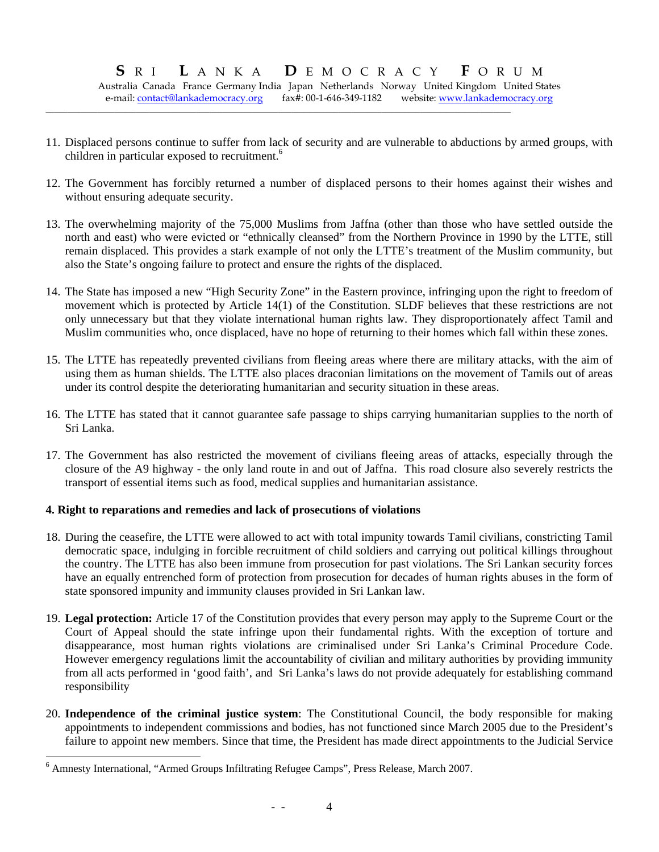Australia Canada France Germany India Japan Netherlands Norway United Kingdom United States e-mail: contact@lankademocracy.org fax#: 00-1-646-349-1182 website: www.lankademocracy.org

**\_\_\_\_\_\_\_\_\_\_\_\_\_\_\_\_\_\_\_\_\_\_\_\_\_\_\_\_\_\_\_\_\_\_\_\_\_\_\_\_\_\_\_\_\_\_\_\_\_\_\_\_\_\_\_\_\_\_\_\_\_\_\_\_\_\_\_\_\_\_\_\_\_\_\_\_\_\_\_\_\_\_\_\_\_\_\_\_\_\_\_\_\_\_\_\_\_\_\_\_\_\_\_\_\_\_\_\_** 

- 11. Displaced persons continue to suffer from lack of security and are vulnerable to abductions by armed groups, with children in particular exposed to recruitment.<sup>6</sup>
- 12. The Government has forcibly returned a number of displaced persons to their homes against their wishes and without ensuring adequate security.
- 13. The overwhelming majority of the 75,000 Muslims from Jaffna (other than those who have settled outside the north and east) who were evicted or "ethnically cleansed" from the Northern Province in 1990 by the LTTE, still remain displaced. This provides a stark example of not only the LTTE's treatment of the Muslim community, but also the State's ongoing failure to protect and ensure the rights of the displaced.
- 14. The State has imposed a new "High Security Zone" in the Eastern province, infringing upon the right to freedom of movement which is protected by Article 14(1) of the Constitution. SLDF believes that these restrictions are not only unnecessary but that they violate international human rights law. They disproportionately affect Tamil and Muslim communities who, once displaced, have no hope of returning to their homes which fall within these zones.
- 15. The LTTE has repeatedly prevented civilians from fleeing areas where there are military attacks, with the aim of using them as human shields. The LTTE also places draconian limitations on the movement of Tamils out of areas under its control despite the deteriorating humanitarian and security situation in these areas.
- 16. The LTTE has stated that it cannot guarantee safe passage to ships carrying humanitarian supplies to the north of Sri Lanka.
- 17. The Government has also restricted the movement of civilians fleeing areas of attacks, especially through the closure of the A9 highway - the only land route in and out of Jaffna. This road closure also severely restricts the transport of essential items such as food, medical supplies and humanitarian assistance.

#### **4. Right to reparations and remedies and lack of prosecutions of violations**

- 18. During the ceasefire, the LTTE were allowed to act with total impunity towards Tamil civilians, constricting Tamil democratic space, indulging in forcible recruitment of child soldiers and carrying out political killings throughout the country. The LTTE has also been immune from prosecution for past violations. The Sri Lankan security forces have an equally entrenched form of protection from prosecution for decades of human rights abuses in the form of state sponsored impunity and immunity clauses provided in Sri Lankan law.
- 19. **Legal protection:** Article 17 of the Constitution provides that every person may apply to the Supreme Court or the Court of Appeal should the state infringe upon their fundamental rights. With the exception of torture and disappearance, most human rights violations are criminalised under Sri Lanka's Criminal Procedure Code. However emergency regulations limit the accountability of civilian and military authorities by providing immunity from all acts performed in 'good faith', and Sri Lanka's laws do not provide adequately for establishing command responsibility
- 20. **Independence of the criminal justice system**: The Constitutional Council, the body responsible for making appointments to independent commissions and bodies, has not functioned since March 2005 due to the President's failure to appoint new members. Since that time, the President has made direct appointments to the Judicial Service

l

<sup>&</sup>lt;sup>6</sup> Amnesty International, "Armed Groups Infiltrating Refugee Camps", Press Release, March 2007.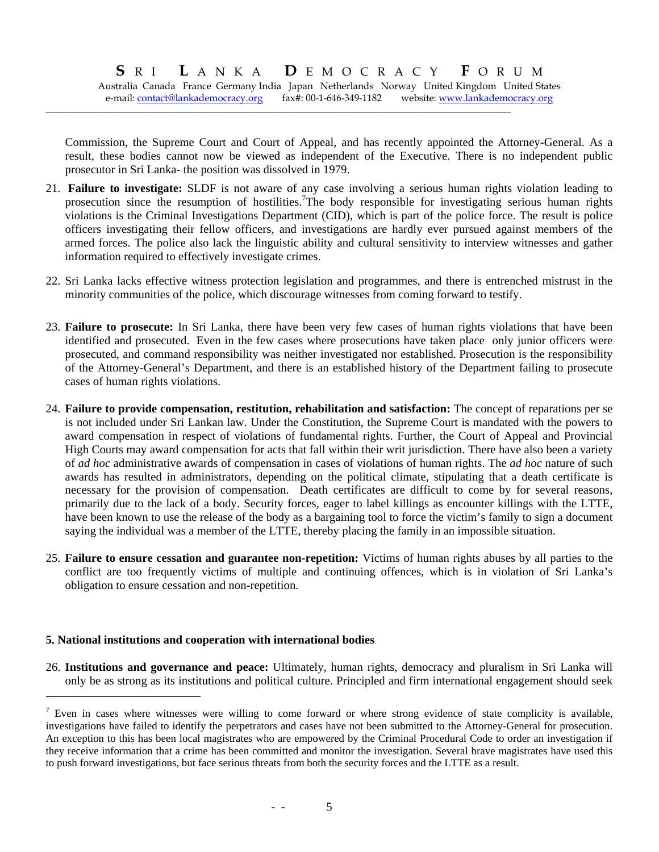Australia Canada France Germany India Japan Netherlands Norway United Kingdom United States e-mail: contact@lankademocracy.org fax#: 00-1-646-349-1182 website: www.lankademocracy.org

**\_\_\_\_\_\_\_\_\_\_\_\_\_\_\_\_\_\_\_\_\_\_\_\_\_\_\_\_\_\_\_\_\_\_\_\_\_\_\_\_\_\_\_\_\_\_\_\_\_\_\_\_\_\_\_\_\_\_\_\_\_\_\_\_\_\_\_\_\_\_\_\_\_\_\_\_\_\_\_\_\_\_\_\_\_\_\_\_\_\_\_\_\_\_\_\_\_\_\_\_\_\_\_\_\_\_\_\_** 

Commission, the Supreme Court and Court of Appeal, and has recently appointed the Attorney-General. As a result, these bodies cannot now be viewed as independent of the Executive. There is no independent public prosecutor in Sri Lanka- the position was dissolved in 1979.

- 21. **Failure to investigate:** SLDF is not aware of any case involving a serious human rights violation leading to prosecution since the resumption of hostilities.<sup>7</sup>The body responsible for investigating serious human rights violations is the Criminal Investigations Department (CID), which is part of the police force. The result is police officers investigating their fellow officers, and investigations are hardly ever pursued against members of the armed forces. The police also lack the linguistic ability and cultural sensitivity to interview witnesses and gather information required to effectively investigate crimes.
- 22. Sri Lanka lacks effective witness protection legislation and programmes, and there is entrenched mistrust in the minority communities of the police, which discourage witnesses from coming forward to testify.
- 23. **Failure to prosecute:** In Sri Lanka, there have been very few cases of human rights violations that have been identified and prosecuted. Even in the few cases where prosecutions have taken place only junior officers were prosecuted, and command responsibility was neither investigated nor established. Prosecution is the responsibility of the Attorney-General's Department, and there is an established history of the Department failing to prosecute cases of human rights violations.
- 24. **Failure to provide compensation, restitution, rehabilitation and satisfaction:** The concept of reparations per se is not included under Sri Lankan law. Under the Constitution, the Supreme Court is mandated with the powers to award compensation in respect of violations of fundamental rights. Further, the Court of Appeal and Provincial High Courts may award compensation for acts that fall within their writ jurisdiction. There have also been a variety of *ad hoc* administrative awards of compensation in cases of violations of human rights. The *ad hoc* nature of such awards has resulted in administrators, depending on the political climate, stipulating that a death certificate is necessary for the provision of compensation. Death certificates are difficult to come by for several reasons, primarily due to the lack of a body. Security forces, eager to label killings as encounter killings with the LTTE, have been known to use the release of the body as a bargaining tool to force the victim's family to sign a document saying the individual was a member of the LTTE, thereby placing the family in an impossible situation.
- 25. **Failure to ensure cessation and guarantee non-repetition:** Victims of human rights abuses by all parties to the conflict are too frequently victims of multiple and continuing offences, which is in violation of Sri Lanka's obligation to ensure cessation and non-repetition.

#### **5. National institutions and cooperation with international bodies**

 $\overline{\phantom{a}}$ 

26. **Institutions and governance and peace:** Ultimately, human rights, democracy and pluralism in Sri Lanka will only be as strong as its institutions and political culture. Principled and firm international engagement should seek

 $<sup>7</sup>$  Even in cases where witnesses were willing to come forward or where strong evidence of state complicity is available,</sup> investigations have failed to identify the perpetrators and cases have not been submitted to the Attorney-General for prosecution. An exception to this has been local magistrates who are empowered by the Criminal Procedural Code to order an investigation if they receive information that a crime has been committed and monitor the investigation. Several brave magistrates have used this to push forward investigations, but face serious threats from both the security forces and the LTTE as a result.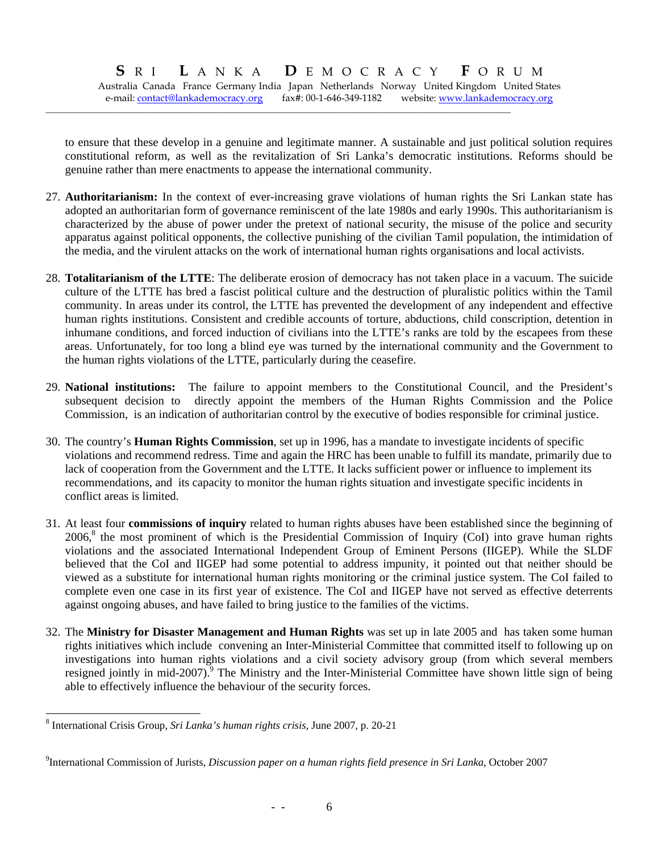Australia Canada France Germany India Japan Netherlands Norway United Kingdom United States e-mail: contact@lankademocracy.org fax#: 00-1-646-349-1182 website: www.lankademocracy.org

**\_\_\_\_\_\_\_\_\_\_\_\_\_\_\_\_\_\_\_\_\_\_\_\_\_\_\_\_\_\_\_\_\_\_\_\_\_\_\_\_\_\_\_\_\_\_\_\_\_\_\_\_\_\_\_\_\_\_\_\_\_\_\_\_\_\_\_\_\_\_\_\_\_\_\_\_\_\_\_\_\_\_\_\_\_\_\_\_\_\_\_\_\_\_\_\_\_\_\_\_\_\_\_\_\_\_\_\_** 

to ensure that these develop in a genuine and legitimate manner. A sustainable and just political solution requires constitutional reform, as well as the revitalization of Sri Lanka's democratic institutions. Reforms should be genuine rather than mere enactments to appease the international community.

- 27. **Authoritarianism:** In the context of ever-increasing grave violations of human rights the Sri Lankan state has adopted an authoritarian form of governance reminiscent of the late 1980s and early 1990s. This authoritarianism is characterized by the abuse of power under the pretext of national security, the misuse of the police and security apparatus against political opponents, the collective punishing of the civilian Tamil population, the intimidation of the media, and the virulent attacks on the work of international human rights organisations and local activists.
- 28. **Totalitarianism of the LTTE**: The deliberate erosion of democracy has not taken place in a vacuum. The suicide culture of the LTTE has bred a fascist political culture and the destruction of pluralistic politics within the Tamil community. In areas under its control, the LTTE has prevented the development of any independent and effective human rights institutions. Consistent and credible accounts of torture, abductions, child conscription, detention in inhumane conditions, and forced induction of civilians into the LTTE's ranks are told by the escapees from these areas. Unfortunately, for too long a blind eye was turned by the international community and the Government to the human rights violations of the LTTE, particularly during the ceasefire.
- 29. **National institutions:** The failure to appoint members to the Constitutional Council, and the President's subsequent decision to directly appoint the members of the Human Rights Commission and the Police Commission, is an indication of authoritarian control by the executive of bodies responsible for criminal justice.
- 30. The country's **Human Rights Commission**, set up in 1996, has a mandate to investigate incidents of specific violations and recommend redress. Time and again the HRC has been unable to fulfill its mandate, primarily due to lack of cooperation from the Government and the LTTE. It lacks sufficient power or influence to implement its recommendations, and its capacity to monitor the human rights situation and investigate specific incidents in conflict areas is limited.
- 31. At least four **commissions of inquiry** related to human rights abuses have been established since the beginning of 2006,<sup>8</sup> the most prominent of which is the Presidential Commission of Inquiry (CoI) into grave human rights violations and the associated International Independent Group of Eminent Persons (IIGEP). While the SLDF believed that the CoI and IIGEP had some potential to address impunity, it pointed out that neither should be viewed as a substitute for international human rights monitoring or the criminal justice system. The CoI failed to complete even one case in its first year of existence. The CoI and IIGEP have not served as effective deterrents against ongoing abuses, and have failed to bring justice to the families of the victims.
- 32. The **Ministry for Disaster Management and Human Rights** was set up in late 2005 and has taken some human rights initiatives which include convening an Inter-Ministerial Committee that committed itself to following up on investigations into human rights violations and a civil society advisory group (from which several members resigned jointly in mid-2007).<sup>9</sup> The Ministry and the Inter-Ministerial Committee have shown little sign of being able to effectively influence the behaviour of the security forces.

 $\overline{\phantom{a}}$ 

<sup>8</sup> International Crisis Group, *Sri Lanka's human rights crisis,* June 2007, p. 20-21

<sup>9</sup> International Commission of Jurists, *Discussion paper on a human rights field presence in Sri Lanka*, October 2007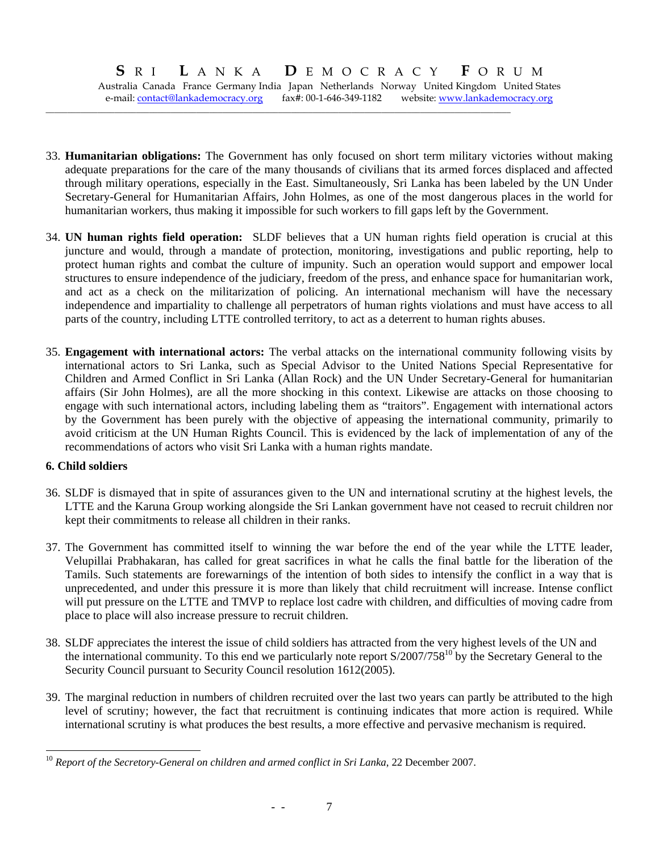Australia Canada France Germany India Japan Netherlands Norway United Kingdom United States e-mail: contact@lankademocracy.org fax#: 00-1-646-349-1182 website: www.lankademocracy.org

**\_\_\_\_\_\_\_\_\_\_\_\_\_\_\_\_\_\_\_\_\_\_\_\_\_\_\_\_\_\_\_\_\_\_\_\_\_\_\_\_\_\_\_\_\_\_\_\_\_\_\_\_\_\_\_\_\_\_\_\_\_\_\_\_\_\_\_\_\_\_\_\_\_\_\_\_\_\_\_\_\_\_\_\_\_\_\_\_\_\_\_\_\_\_\_\_\_\_\_\_\_\_\_\_\_\_\_\_** 

- 33. **Humanitarian obligations:** The Government has only focused on short term military victories without making adequate preparations for the care of the many thousands of civilians that its armed forces displaced and affected through military operations, especially in the East. Simultaneously, Sri Lanka has been labeled by the UN Under Secretary-General for Humanitarian Affairs, John Holmes, as one of the most dangerous places in the world for humanitarian workers, thus making it impossible for such workers to fill gaps left by the Government.
- 34. **UN human rights field operation:** SLDF believes that a UN human rights field operation is crucial at this juncture and would, through a mandate of protection, monitoring, investigations and public reporting, help to protect human rights and combat the culture of impunity. Such an operation would support and empower local structures to ensure independence of the judiciary, freedom of the press, and enhance space for humanitarian work, and act as a check on the militarization of policing. An international mechanism will have the necessary independence and impartiality to challenge all perpetrators of human rights violations and must have access to all parts of the country, including LTTE controlled territory, to act as a deterrent to human rights abuses.
- 35. **Engagement with international actors:** The verbal attacks on the international community following visits by international actors to Sri Lanka, such as Special Advisor to the United Nations Special Representative for Children and Armed Conflict in Sri Lanka (Allan Rock) and the UN Under Secretary-General for humanitarian affairs (Sir John Holmes), are all the more shocking in this context. Likewise are attacks on those choosing to engage with such international actors, including labeling them as "traitors". Engagement with international actors by the Government has been purely with the objective of appeasing the international community, primarily to avoid criticism at the UN Human Rights Council. This is evidenced by the lack of implementation of any of the recommendations of actors who visit Sri Lanka with a human rights mandate.

#### **6. Child soldiers**

- 36. SLDF is dismayed that in spite of assurances given to the UN and international scrutiny at the highest levels, the LTTE and the Karuna Group working alongside the Sri Lankan government have not ceased to recruit children nor kept their commitments to release all children in their ranks.
- 37. The Government has committed itself to winning the war before the end of the year while the LTTE leader, Velupillai Prabhakaran, has called for great sacrifices in what he calls the final battle for the liberation of the Tamils. Such statements are forewarnings of the intention of both sides to intensify the conflict in a way that is unprecedented, and under this pressure it is more than likely that child recruitment will increase. Intense conflict will put pressure on the LTTE and TMVP to replace lost cadre with children, and difficulties of moving cadre from place to place will also increase pressure to recruit children.
- 38. SLDF appreciates the interest the issue of child soldiers has attracted from the very highest levels of the UN and the international community. To this end we particularly note report S/2007/758<sup>10</sup> by the Secretary General to the Security Council pursuant to Security Council resolution 1612(2005).
- 39. The marginal reduction in numbers of children recruited over the last two years can partly be attributed to the high level of scrutiny; however, the fact that recruitment is continuing indicates that more action is required. While international scrutiny is what produces the best results, a more effective and pervasive mechanism is required.

 $\overline{\phantom{a}}$ <sup>10</sup> *Report of the Secretory-General on children and armed conflict in Sri Lanka*, 22 December 2007.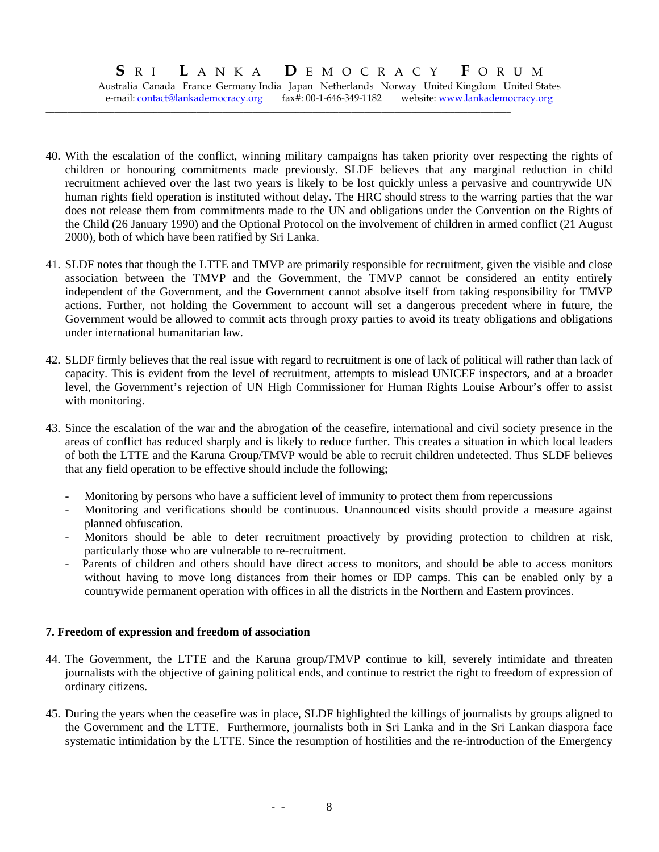Australia Canada France Germany India Japan Netherlands Norway United Kingdom United States e-mail: contact@lankademocracy.org fax#: 00-1-646-349-1182 website: www.lankademocracy.org

**\_\_\_\_\_\_\_\_\_\_\_\_\_\_\_\_\_\_\_\_\_\_\_\_\_\_\_\_\_\_\_\_\_\_\_\_\_\_\_\_\_\_\_\_\_\_\_\_\_\_\_\_\_\_\_\_\_\_\_\_\_\_\_\_\_\_\_\_\_\_\_\_\_\_\_\_\_\_\_\_\_\_\_\_\_\_\_\_\_\_\_\_\_\_\_\_\_\_\_\_\_\_\_\_\_\_\_\_** 

- 40. With the escalation of the conflict, winning military campaigns has taken priority over respecting the rights of children or honouring commitments made previously. SLDF believes that any marginal reduction in child recruitment achieved over the last two years is likely to be lost quickly unless a pervasive and countrywide UN human rights field operation is instituted without delay. The HRC should stress to the warring parties that the war does not release them from commitments made to the UN and obligations under the Convention on the Rights of the Child (26 January 1990) and the Optional Protocol on the involvement of children in armed conflict (21 August 2000), both of which have been ratified by Sri Lanka.
- 41. SLDF notes that though the LTTE and TMVP are primarily responsible for recruitment, given the visible and close association between the TMVP and the Government, the TMVP cannot be considered an entity entirely independent of the Government, and the Government cannot absolve itself from taking responsibility for TMVP actions. Further, not holding the Government to account will set a dangerous precedent where in future, the Government would be allowed to commit acts through proxy parties to avoid its treaty obligations and obligations under international humanitarian law.
- 42. SLDF firmly believes that the real issue with regard to recruitment is one of lack of political will rather than lack of capacity. This is evident from the level of recruitment, attempts to mislead UNICEF inspectors, and at a broader level, the Government's rejection of UN High Commissioner for Human Rights Louise Arbour's offer to assist with monitoring.
- 43. Since the escalation of the war and the abrogation of the ceasefire, international and civil society presence in the areas of conflict has reduced sharply and is likely to reduce further. This creates a situation in which local leaders of both the LTTE and the Karuna Group/TMVP would be able to recruit children undetected. Thus SLDF believes that any field operation to be effective should include the following;
	- Monitoring by persons who have a sufficient level of immunity to protect them from repercussions
	- Monitoring and verifications should be continuous. Unannounced visits should provide a measure against planned obfuscation.
	- Monitors should be able to deter recruitment proactively by providing protection to children at risk, particularly those who are vulnerable to re-recruitment.
	- Parents of children and others should have direct access to monitors, and should be able to access monitors without having to move long distances from their homes or IDP camps. This can be enabled only by a countrywide permanent operation with offices in all the districts in the Northern and Eastern provinces.

#### **7. Freedom of expression and freedom of association**

- 44. The Government, the LTTE and the Karuna group/TMVP continue to kill, severely intimidate and threaten journalists with the objective of gaining political ends, and continue to restrict the right to freedom of expression of ordinary citizens.
- 45. During the years when the ceasefire was in place, SLDF highlighted the killings of journalists by groups aligned to the Government and the LTTE. Furthermore, journalists both in Sri Lanka and in the Sri Lankan diaspora face systematic intimidation by the LTTE. Since the resumption of hostilities and the re-introduction of the Emergency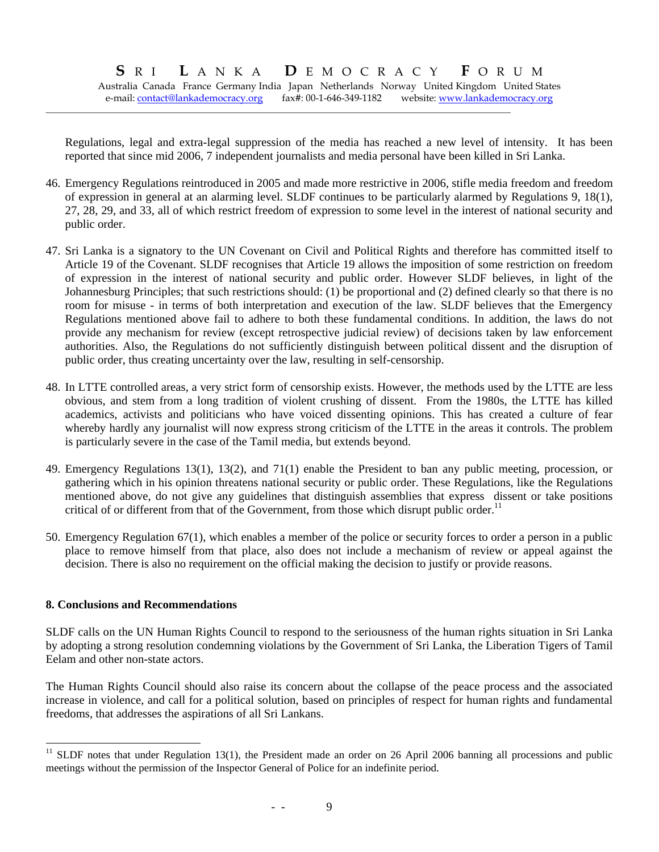Australia Canada France Germany India Japan Netherlands Norway United Kingdom United States e-mail: contact@lankademocracy.org fax#: 00-1-646-349-1182 website: www.lankademocracy.org

**\_\_\_\_\_\_\_\_\_\_\_\_\_\_\_\_\_\_\_\_\_\_\_\_\_\_\_\_\_\_\_\_\_\_\_\_\_\_\_\_\_\_\_\_\_\_\_\_\_\_\_\_\_\_\_\_\_\_\_\_\_\_\_\_\_\_\_\_\_\_\_\_\_\_\_\_\_\_\_\_\_\_\_\_\_\_\_\_\_\_\_\_\_\_\_\_\_\_\_\_\_\_\_\_\_\_\_\_** 

Regulations, legal and extra-legal suppression of the media has reached a new level of intensity. It has been reported that since mid 2006, 7 independent journalists and media personal have been killed in Sri Lanka.

- 46. Emergency Regulations reintroduced in 2005 and made more restrictive in 2006, stifle media freedom and freedom of expression in general at an alarming level. SLDF continues to be particularly alarmed by Regulations 9, 18(1), 27, 28, 29, and 33, all of which restrict freedom of expression to some level in the interest of national security and public order.
- 47. Sri Lanka is a signatory to the UN Covenant on Civil and Political Rights and therefore has committed itself to Article 19 of the Covenant. SLDF recognises that Article 19 allows the imposition of some restriction on freedom of expression in the interest of national security and public order. However SLDF believes, in light of the Johannesburg Principles; that such restrictions should: (1) be proportional and (2) defined clearly so that there is no room for misuse - in terms of both interpretation and execution of the law. SLDF believes that the Emergency Regulations mentioned above fail to adhere to both these fundamental conditions. In addition, the laws do not provide any mechanism for review (except retrospective judicial review) of decisions taken by law enforcement authorities. Also, the Regulations do not sufficiently distinguish between political dissent and the disruption of public order, thus creating uncertainty over the law, resulting in self-censorship.
- 48. In LTTE controlled areas, a very strict form of censorship exists. However, the methods used by the LTTE are less obvious, and stem from a long tradition of violent crushing of dissent. From the 1980s, the LTTE has killed academics, activists and politicians who have voiced dissenting opinions. This has created a culture of fear whereby hardly any journalist will now express strong criticism of the LTTE in the areas it controls. The problem is particularly severe in the case of the Tamil media, but extends beyond.
- 49. Emergency Regulations 13(1), 13(2), and 71(1) enable the President to ban any public meeting, procession, or gathering which in his opinion threatens national security or public order. These Regulations, like the Regulations mentioned above, do not give any guidelines that distinguish assemblies that express dissent or take positions critical of or different from that of the Government, from those which disrupt public order.<sup>11</sup>
- 50. Emergency Regulation 67(1), which enables a member of the police or security forces to order a person in a public place to remove himself from that place, also does not include a mechanism of review or appeal against the decision. There is also no requirement on the official making the decision to justify or provide reasons.

#### **8. Conclusions and Recommendations**

l

SLDF calls on the UN Human Rights Council to respond to the seriousness of the human rights situation in Sri Lanka by adopting a strong resolution condemning violations by the Government of Sri Lanka, the Liberation Tigers of Tamil Eelam and other non-state actors.

The Human Rights Council should also raise its concern about the collapse of the peace process and the associated increase in violence, and call for a political solution, based on principles of respect for human rights and fundamental freedoms, that addresses the aspirations of all Sri Lankans.

 $11$  SLDF notes that under Regulation 13(1), the President made an order on 26 April 2006 banning all processions and public meetings without the permission of the Inspector General of Police for an indefinite period.